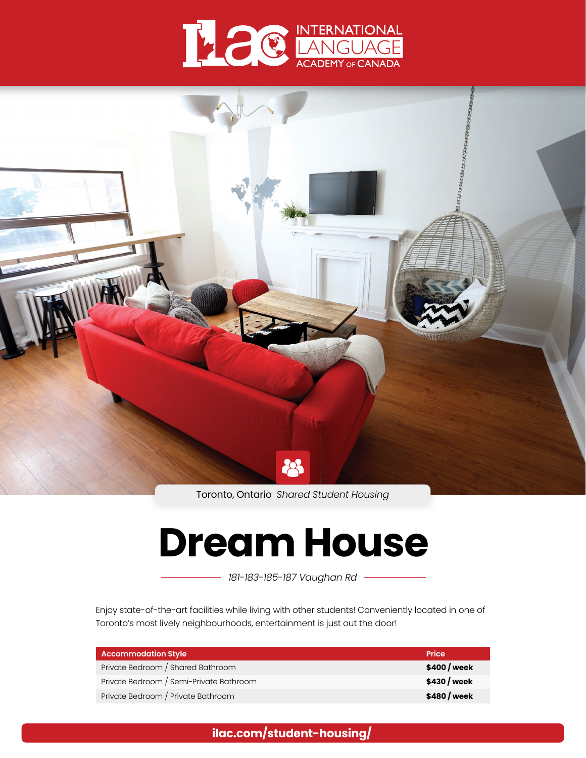



Toronto, Ontario *Shared Student Housing*

# **Dream House**

*181-183-185-187 Vaughan Rd*

Enjoy state-of-the-art facilities while living with other students! Conveniently located in one of Toronto's most lively neighbourhoods, entertainment is just out the door!

| Accommodation Style                     | <b>Price</b> |
|-----------------------------------------|--------------|
| Private Bedroom / Shared Bathroom       | \$400 / week |
| Private Bedroom / Semi-Private Bathroom | \$430 / week |
| Private Bedroom / Private Bathroom      | \$480 / week |

**[ilac.com/student-housing/](https://www.ilac.com/student-housing/)**